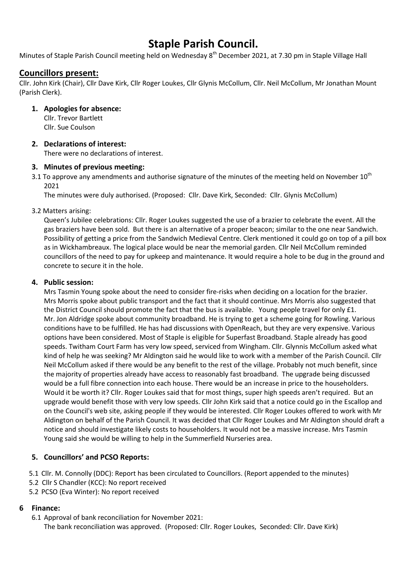# Staple Parish Council.

Minutes of Staple Parish Council meeting held on Wednesday 8<sup>th</sup> December 2021, at 7.30 pm in Staple Village Hall

# Councillors present:

Cllr. John Kirk (Chair), Cllr Dave Kirk, Cllr Roger Loukes, Cllr Glynis McCollum, Cllr. Neil McCollum, Mr Jonathan Mount (Parish Clerk).

## 1. Apologies for absence:

Cllr. Trevor Bartlett Cllr. Sue Coulson

## 2. Declarations of interest:

There were no declarations of interest.

## 3. Minutes of previous meeting:

3.1 To approve any amendments and authorise signature of the minutes of the meeting held on November  $10^{th}$ 2021

The minutes were duly authorised. (Proposed: Cllr. Dave Kirk, Seconded: Cllr. Glynis McCollum)

## 3.2 Matters arising:

Queen's Jubilee celebrations: Cllr. Roger Loukes suggested the use of a brazier to celebrate the event. All the gas braziers have been sold. But there is an alternative of a proper beacon; similar to the one near Sandwich. Possibility of getting a price from the Sandwich Medieval Centre. Clerk mentioned it could go on top of a pill box as in Wickhambreaux. The logical place would be near the memorial garden. Cllr Neil McCollum reminded councillors of the need to pay for upkeep and maintenance. It would require a hole to be dug in the ground and concrete to secure it in the hole.

## 4. Public session:

Mrs Tasmin Young spoke about the need to consider fire-risks when deciding on a location for the brazier. Mrs Morris spoke about public transport and the fact that it should continue. Mrs Morris also suggested that the District Council should promote the fact that the bus is available. Young people travel for only £1. Mr. Jon Aldridge spoke about community broadband. He is trying to get a scheme going for Rowling. Various conditions have to be fulfilled. He has had discussions with OpenReach, but they are very expensive. Various options have been considered. Most of Staple is eligible for Superfast Broadband. Staple already has good speeds. Twitham Court Farm has very low speed, serviced from Wingham. Cllr. Glynnis McCollum asked what kind of help he was seeking? Mr Aldington said he would like to work with a member of the Parish Council. Cllr Neil McCollum asked if there would be any benefit to the rest of the village. Probably not much benefit, since the majority of properties already have access to reasonably fast broadband. The upgrade being discussed would be a full fibre connection into each house. There would be an increase in price to the householders. Would it be worth it? Cllr. Roger Loukes said that for most things, super high speeds aren't required. But an upgrade would benefit those with very low speeds. Cllr John Kirk said that a notice could go in the Escallop and on the Council's web site, asking people if they would be interested. Cllr Roger Loukes offered to work with Mr Aldington on behalf of the Parish Council. It was decided that Cllr Roger Loukes and Mr Aldington should draft a notice and should investigate likely costs to householders. It would not be a massive increase. Mrs Tasmin Young said she would be willing to help in the Summerfield Nurseries area.

# 5. Councillors' and PCSO Reports:

5.1 Cllr. M. Connolly (DDC): Report has been circulated to Councillors. (Report appended to the minutes)

- 5.2 Cllr S Chandler (KCC): No report received
- 5.2 PCSO (Eva Winter): No report received

# 6 Finance:

6.1 Approval of bank reconciliation for November 2021:

The bank reconciliation was approved. (Proposed: Cllr. Roger Loukes, Seconded: Cllr. Dave Kirk)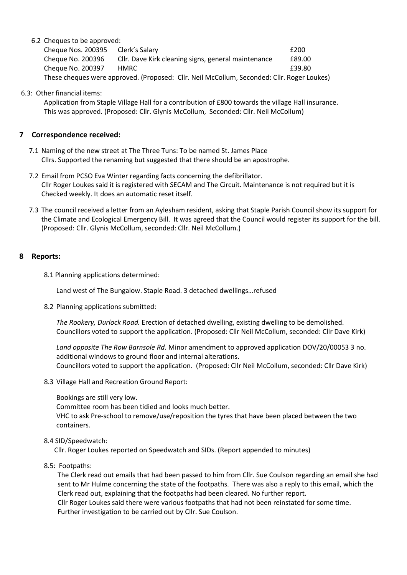#### 6.2 Cheques to be approved:

| Cheque Nos. 200395                                                                         | Clerk's Salary                                      | £200   |
|--------------------------------------------------------------------------------------------|-----------------------------------------------------|--------|
| Cheque No. 200396                                                                          | Cllr. Dave Kirk cleaning signs, general maintenance | £89.00 |
| Cheque No. 200397                                                                          | HMRC .                                              | £39.80 |
| These cheques were approved. (Proposed: Cllr. Neil McCollum, Seconded: Cllr. Roger Loukes) |                                                     |        |

#### 6.3: Other financial items:

 Application from Staple Village Hall for a contribution of £800 towards the village Hall insurance. This was approved. (Proposed: Cllr. Glynis McCollum, Seconded: Cllr. Neil McCollum)

#### 7 Correspondence received:

- 7.1 Naming of the new street at The Three Tuns: To be named St. James Place Cllrs. Supported the renaming but suggested that there should be an apostrophe.
- 7.2 Email from PCSO Eva Winter regarding facts concerning the defibrillator. Cllr Roger Loukes said it is registered with SECAM and The Circuit. Maintenance is not required but it is Checked weekly. It does an automatic reset itself.
- 7.3 The council received a letter from an Aylesham resident, asking that Staple Parish Council show its support for the Climate and Ecological Emergency Bill. It was agreed that the Council would register its support for the bill. (Proposed: Cllr. Glynis McCollum, seconded: Cllr. Neil McCollum.)

## 8 Reports:

8.1 Planning applications determined:

Land west of The Bungalow. Staple Road. 3 detached dwellings…refused

8.2 Planning applications submitted:

The Rookery, Durlock Road. Erection of detached dwelling, existing dwelling to be demolished. Councillors voted to support the application. (Proposed: Cllr Neil McCollum, seconded: Cllr Dave Kirk)

Land opposite The Row Barnsole Rd. Minor amendment to approved application DOV/20/00053 3 no. additional windows to ground floor and internal alterations. Councillors voted to support the application. (Proposed: Cllr Neil McCollum, seconded: Cllr Dave Kirk)

8.3 Village Hall and Recreation Ground Report:

Bookings are still very low.

Committee room has been tidied and looks much better.

VHC to ask Pre-school to remove/use/reposition the tyres that have been placed between the two containers.

#### 8.4 SID/Speedwatch:

Cllr. Roger Loukes reported on Speedwatch and SIDs. (Report appended to minutes)

8.5: Footpaths:

 The Clerk read out emails that had been passed to him from Cllr. Sue Coulson regarding an email she had sent to Mr Hulme concerning the state of the footpaths. There was also a reply to this email, which the Clerk read out, explaining that the footpaths had been cleared. No further report. Cllr Roger Loukes said there were various footpaths that had not been reinstated for some time. Further investigation to be carried out by Cllr. Sue Coulson.